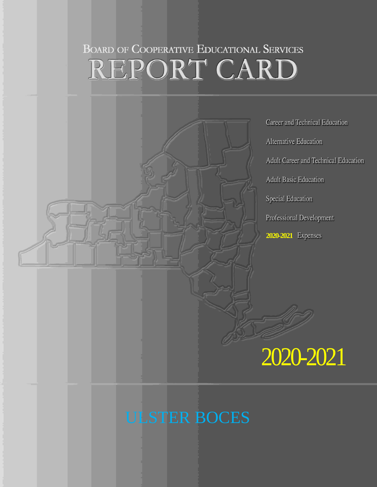# **BOARD OF COOPERATIVE EDUCATIONAL SERVICES** REPORT CARD



# ULSTER BOCES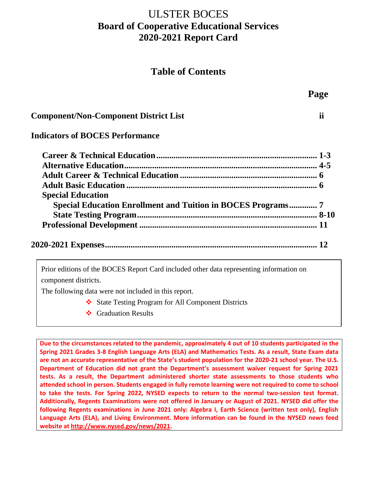## ULSTER BOCES **Board of Cooperative Educational Services 2020-2021 Report Card**

## **Table of Contents**

**Page** 

|                                                                     | rage |
|---------------------------------------------------------------------|------|
| <b>Component/Non-Component District List</b>                        | ii   |
| <b>Indicators of BOCES Performance</b>                              |      |
|                                                                     |      |
|                                                                     |      |
|                                                                     |      |
|                                                                     |      |
| <b>Special Education</b>                                            |      |
| <b>Special Education Enrollment and Tuition in BOCES Programs 7</b> |      |
|                                                                     |      |
|                                                                     |      |
|                                                                     |      |
|                                                                     |      |

Prior editions of the BOCES Report Card included other data representing information on component districts.

The following data were not included in this report.

- State Testing Program for All Component Districts
- ❖ Graduation Results

**Due to the circumstances related to the pandemic, approximately 4 out of 10 students participated in the Spring 2021 Grades 3-8 English Language Arts (ELA) and Mathematics Tests. As a result, State Exam data are not an accurate representative of the State's student population for the 2020-21 school year. The U.S. Department of Education did not grant the Department's assessment waiver request for Spring 2021 tests. As a result, the Department administered shorter state assessments to those students who attended school in person. Students engaged in fully remote learning were not required to come to school to take the tests. For Spring 2022, NYSED expects to return to the normal two-session test format. Additionally, Regents Examinations were not offered in January or August of 2021. NYSED did offer the following Regents examinations in June 2021 only: Algebra I, Earth Science (written test only), English Language Arts (ELA), and Living Environment. More information can be found in the NYSED news feed website at [http://www.nysed.gov/news/2021.](http://www.nysed.gov/news/2021)**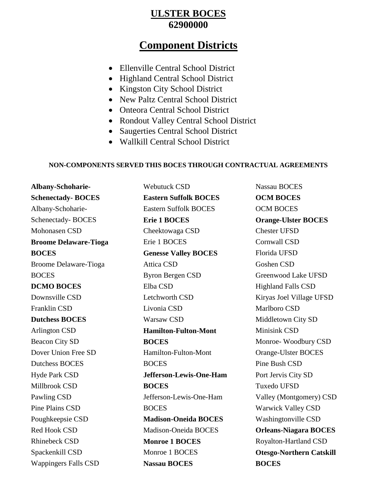#### **ULSTER BOCES 62900000**

## **Component Districts**

- Ellenville Central School District
- Highland Central School District
- Kingston City School District
- New Paltz Central School District
- Onteora Central School District
- Rondout Valley Central School District
- Saugerties Central School District
- Wallkill Central School District

#### **NON-COMPONENTS SERVED THIS BOCES THROUGH CONTRACTUAL AGREEMENTS**

**Albany-Schoharie-Schenectady- BOCES** Albany-Schoharie-Schenectady- BOCES Mohonasen CSD **Broome Delaware-Tioga BOCES** Broome Delaware-Tioga BOCES **DCMO BOCES** Downsville CSD Franklin CSD **Dutchess BOCES** Arlington CSD Beacon City SD Dover Union Free SD Dutchess BOCES Hyde Park CSD Millbrook CSD Pawling CSD Pine Plains CSD Poughkeepsie CSD Red Hook CSD Rhinebeck CSD Spackenkill CSD Wappingers Falls CSD

Webutuck CSD **Eastern Suffolk BOCES** Eastern Suffolk BOCES **Erie 1 BOCES** Cheektowaga CSD Erie 1 BOCES **Genesse Valley BOCES** Attica CSD Byron Bergen CSD Elba CSD Letchworth CSD Livonia CSD Warsaw CSD **Hamilton-Fulton-Mont BOCES** Hamilton-Fulton-Mont **BOCES Jefferson-Lewis-One-Ham BOCES** Jefferson-Lewis-One-Ham **BOCES Madison-Oneida BOCES** Madison-Oneida BOCES **Monroe 1 BOCES** Monroe 1 BOCES **Nassau BOCES**

Nassau BOCES **OCM BOCES** OCM BOCES **Orange-Ulster BOCES** Chester UFSD Cornwall CSD Florida UFSD Goshen CSD Greenwood Lake UFSD Highland Falls CSD Kiryas Joel Village UFSD Marlboro CSD Middletown City SD Minisink CSD Monroe- Woodbury CSD Orange-Ulster BOCES Pine Bush CSD Port Jervis City SD Tuxedo UFSD Valley (Montgomery) CSD Warwick Valley CSD Washingtonville CSD **Orleans-Niagara BOCES** Royalton-Hartland CSD **Otesgo-Northern Catskill BOCES**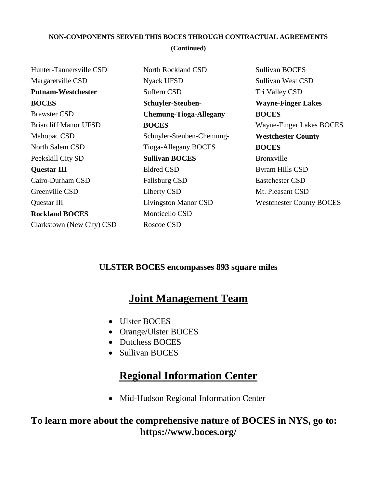#### **NON-COMPONENTS SERVED THIS BOCES THROUGH CONTRACTUAL AGREEMENTS (Continued)**

| Hunter-Tannersville CSD      | North Rockland CSD            | <b>Sullivan BOCES</b>           |
|------------------------------|-------------------------------|---------------------------------|
| Margaretville CSD            | Nyack UFSD                    | Sullivan West CSD               |
| <b>Putnam-Westchester</b>    | Suffern CSD                   | Tri Valley CSD                  |
| <b>BOCES</b>                 | <b>Schuyler-Steuben-</b>      | <b>Wayne-Finger Lakes</b>       |
| <b>Brewster CSD</b>          | <b>Chemung-Tioga-Allegany</b> | <b>BOCES</b>                    |
| <b>Briarcliff Manor UFSD</b> | <b>BOCES</b>                  | Wayne-Finger Lakes BOCES        |
| Mahopac CSD                  | Schuyler-Steuben-Chemung-     | <b>Westchester County</b>       |
| North Salem CSD              | Tioga-Allegany BOCES          | <b>BOCES</b>                    |
| Peekskill City SD            | <b>Sullivan BOCES</b>         | Bronxville                      |
| <b>Questar III</b>           | <b>Eldred CSD</b>             | Byram Hills CSD                 |
| Cairo-Durham CSD             | <b>Fallsburg CSD</b>          | <b>Eastchester CSD</b>          |
| Greenville CSD               | Liberty CSD                   | Mt. Pleasant CSD                |
| Questar III                  | <b>Livingston Manor CSD</b>   | <b>Westchester County BOCES</b> |
| <b>Rockland BOCES</b>        | Monticello CSD                |                                 |
| Clarkstown (New City) CSD    | Roscoe CSD                    |                                 |
|                              |                               |                                 |

#### **ULSTER BOCES encompasses 893 square miles**

## **Joint Management Team**

- Ulster BOCES
- Orange/Ulster BOCES
- Dutchess BOCES
- Sullivan BOCES

# **Regional Information Center**

• Mid-Hudson Regional Information Center

## **To learn more about the comprehensive nature of BOCES in NYS, go to: https://www.boces.org/**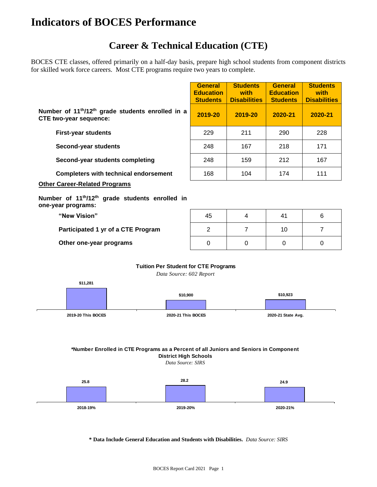# **Indicators of BOCES Performance**

## **Career & Technical Education (CTE)**

BOCES CTE classes, offered primarily on a half-day basis, prepare high school students from component districts for skilled work force careers. Most CTE programs require two years to complete.

|                                                                                                                                       | <b>General</b><br><b>Education</b><br><b>Students</b> | <b>Students</b><br>with<br><b>Disabilities</b> | <b>General</b><br><b>Education</b><br><b>Students</b> | <b>Students</b><br>with<br><b>Disabilities</b> |
|---------------------------------------------------------------------------------------------------------------------------------------|-------------------------------------------------------|------------------------------------------------|-------------------------------------------------------|------------------------------------------------|
| Number of 11 <sup>th</sup> /12 <sup>th</sup> grade students enrolled in a<br><b>CTE two-year sequence:</b>                            | 2019-20                                               | 2019-20                                        | 2020-21                                               | 2020-21                                        |
| <b>First-year students</b>                                                                                                            | 229                                                   | 211                                            | 290                                                   | 228                                            |
| Second-year students                                                                                                                  | 248                                                   | 167                                            | 218                                                   | 171                                            |
| Second-year students completing                                                                                                       | 248                                                   | 159                                            | 212                                                   | 167                                            |
| <b>Completers with technical endorsement</b>                                                                                          | 168                                                   | 104                                            | 174                                                   | 111                                            |
| <b>Other Career-Related Programs</b><br>Number of 11 <sup>th</sup> /12 <sup>th</sup> grade students enrolled in<br>one-year programs: |                                                       |                                                |                                                       |                                                |
| "New Vision"                                                                                                                          | 45                                                    | 4                                              | 41                                                    | 6                                              |
| Participated 1 yr of a CTE Program                                                                                                    | $\overline{2}$                                        | 7                                              | 10                                                    | 7                                              |
| Other one-year programs                                                                                                               | 0                                                     | $\Omega$                                       | $\Omega$                                              | $\Omega$                                       |

#### **Tuition Per Student for CTE Programs**

*Data Source: 602 Report*



#### **\*Number Enrolled in CTE Programs as a Percent of all Juniors and Seniors in Component District High Schools**

*Data Source: SIRS*



#### **\* Data Include General Education and Students with Disabilities.** *Data Source: SIRS*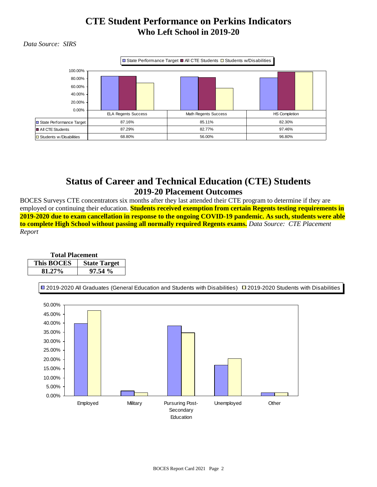#### **CTE Student Performance on Perkins Indicators Who Left School in 2019-20**

 *Data Source: SIRS*



#### **Status of Career and Technical Education (CTE) Students 2019-20 Placement Outcomes**

BOCES Surveys CTE concentrators six months after they last attended their CTE program to determine if they are employed or continuing their education. **Students received exemption from certain Regents testing requirements in 2019-2020 due to exam cancellation in response to the ongoing COVID-19 pandemic. As such, students were able to complete High School without passing all normally required Regents exams.** *Data Source: CTE Placement Report*

| <b>Total Placement</b> |                     |  |  |  |  |  |  |
|------------------------|---------------------|--|--|--|--|--|--|
| <b>This BOCES</b>      | <b>State Target</b> |  |  |  |  |  |  |
| 81.27%                 | 97.54%              |  |  |  |  |  |  |

2019-2020 All Graduates (General Education and Students with Disabilities) 2019-2020 Students with Disabilities

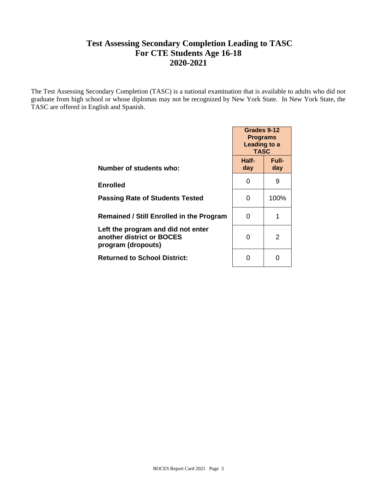#### **Test Assessing Secondary Completion Leading to TASC For CTE Students Age 16-18 2020-2021**

The Test Assessing Secondary Completion (TASC) is a national examination that is available to adults who did not graduate from high school or whose diplomas may not be recognized by New York State. In New York State, the TASC are offered in English and Spanish.

|                                                                                       | Grades 9-12<br><b>Programs</b><br>Leading to a<br><b>TASC</b> |              |  |  |
|---------------------------------------------------------------------------------------|---------------------------------------------------------------|--------------|--|--|
| Number of students who:                                                               | Half-<br>day                                                  | Full-<br>day |  |  |
| Enrolled                                                                              | 0                                                             | 9            |  |  |
| <b>Passing Rate of Students Tested</b>                                                | 0                                                             | 100%         |  |  |
| <b>Remained / Still Enrolled in the Program</b>                                       | O                                                             | 1            |  |  |
| Left the program and did not enter<br>another district or BOCES<br>program (dropouts) | 0                                                             | 2            |  |  |
| <b>Returned to School District:</b>                                                   | O                                                             |              |  |  |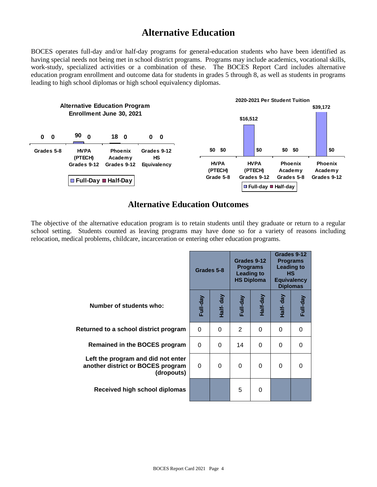## **Alternative Education**

BOCES operates full-day and/or half-day programs for general-education students who have been identified as having special needs not being met in school district programs. Programs may include academics, vocational skills, work-study, specialized activities or a combination of these. The BOCES Report Card includes alternative education program enrollment and outcome data for students in grades 5 through 8, as well as students in programs leading to high school diplomas or high school equivalency diplomas.



#### **Alternative Education Outcomes**

The objective of the alternative education program is to retain students until they graduate or return to a regular school setting. Students counted as leaving programs may have done so for a variety of reasons including relocation, medical problems, childcare, incarceration or entering other education programs.

|                                                                                       |          | Grades 5-8 |          | Grades 9-12<br><b>Programs</b><br><b>Leading to</b><br><b>HS Diploma</b> | Grades 9-12<br><b>Programs</b><br><b>Leading to</b><br>HS.<br><b>Equivalency</b><br><b>Diplomas</b> |          |
|---------------------------------------------------------------------------------------|----------|------------|----------|--------------------------------------------------------------------------|-----------------------------------------------------------------------------------------------------|----------|
| Number of students who:                                                               | Full-day | Half- day  | Full-day | Half-day                                                                 | Half- day                                                                                           | Full-day |
| Returned to a school district program                                                 | $\Omega$ | 0          | 2        | $\Omega$                                                                 | $\Omega$                                                                                            | 0        |
| <b>Remained in the BOCES program</b>                                                  | $\Omega$ | $\Omega$   | 14       | $\Omega$                                                                 | $\Omega$                                                                                            | 0        |
| Left the program and did not enter<br>another district or BOCES program<br>(dropouts) | $\Omega$ | $\Omega$   | $\Omega$ | $\Omega$                                                                 | $\Omega$                                                                                            | 0        |
| Received high school diplomas                                                         |          |            | 5        | 0                                                                        |                                                                                                     |          |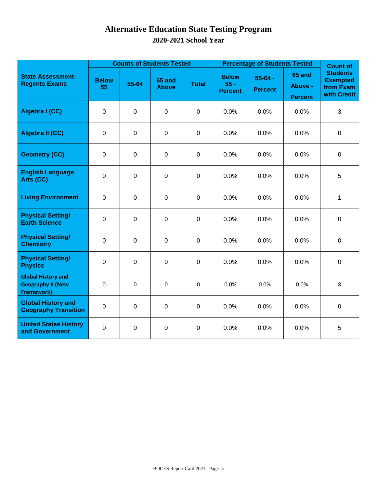## **Alternative Education State Testing Program 2020-2021 School Year**

|                                                                            |                    | <b>Counts of Students Tested</b> |                               |              | <b>Percentage of Students Tested</b>     | <b>Count of</b>               |                                            |                                                                |
|----------------------------------------------------------------------------|--------------------|----------------------------------|-------------------------------|--------------|------------------------------------------|-------------------------------|--------------------------------------------|----------------------------------------------------------------|
| <b>State Assessment-</b><br><b>Regents Exams</b>                           | <b>Below</b><br>55 | 55-64                            | <b>65 and</b><br><b>Above</b> | <b>Total</b> | <b>Below</b><br>$55 -$<br><b>Percent</b> | $55 - 64 -$<br><b>Percent</b> | <b>65 and</b><br>Above -<br><b>Percent</b> | <b>Students</b><br><b>Exempted</b><br>from Exam<br>with Credit |
| Algebra I (CC)                                                             | $\mathbf 0$        | $\mathbf 0$                      | $\pmb{0}$                     | $\mathbf 0$  | 0.0%                                     | 0.0%                          | 0.0%                                       | $\mathfrak{B}$                                                 |
| Algebra II (CC)                                                            | $\mathbf 0$        | $\pmb{0}$                        | $\mathbf 0$                   | $\mathbf 0$  | 0.0%                                     | 0.0%                          | 0.0%                                       | $\mathbf 0$                                                    |
| <b>Geometry (CC)</b>                                                       | $\mathbf 0$        | $\mathbf 0$                      | $\mathbf 0$                   | $\mathbf 0$  | 0.0%                                     | 0.0%                          | 0.0%                                       | $\mathbf 0$                                                    |
| <b>English Language</b><br>Arts (CC)                                       | $\mathbf 0$        | $\mathbf 0$                      | $\mathbf 0$                   | $\mathbf 0$  | 0.0%                                     | 0.0%                          | 0.0%                                       | 5                                                              |
| <b>Living Environment</b>                                                  | $\mathbf 0$        | $\mathbf 0$                      | $\mathbf 0$                   | $\mathbf 0$  | 0.0%                                     | 0.0%                          | 0.0%                                       | $\mathbf{1}$                                                   |
| <b>Physical Setting/</b><br><b>Earth Science</b>                           | $\mathbf 0$        | $\mathbf 0$                      | 0                             | $\mathbf 0$  | 0.0%                                     | 0.0%                          | 0.0%                                       | $\mathbf 0$                                                    |
| <b>Physical Setting/</b><br><b>Chemistry</b>                               | 0                  | $\mathbf 0$                      | $\pmb{0}$                     | $\mathbf 0$  | 0.0%                                     | 0.0%                          | 0.0%                                       | $\mathbf 0$                                                    |
| <b>Physical Setting/</b><br><b>Physics</b>                                 | $\pmb{0}$          | $\pmb{0}$                        | $\pmb{0}$                     | $\mathbf 0$  | 0.0%                                     | 0.0%                          | 0.0%                                       | $\pmb{0}$                                                      |
| <b>Global History and</b><br><b>Geography II (New</b><br><b>Framework)</b> | 0                  | 0                                | $\pmb{0}$                     | $\mathbf 0$  | 0.0%                                     | 0.0%                          | 0.0%                                       | 8                                                              |
| <b>Global History and</b><br><b>Geography Transition</b>                   | $\pmb{0}$          | $\pmb{0}$                        | $\pmb{0}$                     | $\mathbf 0$  | 0.0%                                     | 0.0%                          | 0.0%                                       | $\mathbf 0$                                                    |
| <b>United States History</b><br>and Government                             | $\boldsymbol{0}$   | $\pmb{0}$                        | $\pmb{0}$                     | $\mathsf 0$  | 0.0%                                     | 0.0%                          | 0.0%                                       | 5                                                              |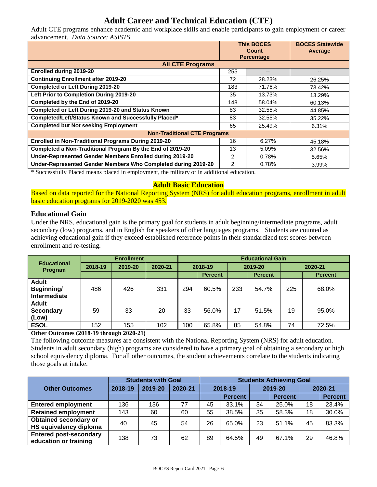#### **Adult Career and Technical Education (CTE)**

Adult CTE programs enhance academic and workplace skills and enable participants to gain employment or career advancement. *Data Source: ASISTS*

|                                                               | <b>This BOCES</b><br>Count<br><b>Percentage</b> |        | <b>BOCES Statewide</b><br>Average |
|---------------------------------------------------------------|-------------------------------------------------|--------|-----------------------------------|
| <b>All CTE Programs</b>                                       |                                                 |        |                                   |
| <b>Enrolled during 2019-20</b>                                | 255                                             | --     | --                                |
| <b>Continuing Enrollment after 2019-20</b>                    | 72                                              | 28.23% | 26.25%                            |
| <b>Completed or Left During 2019-20</b>                       | 183                                             | 71.76% | 73.42%                            |
| Left Prior to Completion During 2019-20                       | 35                                              | 13.73% | 13.29%                            |
| Completed by the End of 2019-20                               | 148                                             | 58.04% | 60.13%                            |
| Completed or Left During 2019-20 and Status Known             | 83                                              | 32.55% | 44.85%                            |
| Completed/Left/Status Known and Successfully Placed*          | 83                                              | 32.55% | 35.22%                            |
| <b>Completed but Not seeking Employment</b>                   | 65                                              | 25.49% | 6.31%                             |
| <b>Non-Traditional CTE Programs</b>                           |                                                 |        |                                   |
| <b>Enrolled in Non-Traditional Programs During 2019-20</b>    | 16                                              | 6.27%  | 45.18%                            |
| Completed a Non-Traditional Program By the End of 2019-20     | 13                                              | 5.09%  | 32.56%                            |
| Under-Represented Gender Members Enrolled during 2019-20      | 2                                               | 0.78%  | 5.65%                             |
| Under-Represented Gender Members Who Completed during 2019-20 | $\mathcal{P}$                                   | 0.78%  | 3.99%                             |

\* Successfully Placed means placed in employment, the military or in additional education.

#### **Adult Basic Education**

Based on data reported for the National Reporting System (NRS) for adult education programs, enrollment in adult basic education programs for 2019-2020 was 453.

#### **Educational Gain**

Under the NRS, educational gain is the primary goal for students in adult beginning/intermediate programs, adult secondary (low) programs, and in English for speakers of other languages programs. Students are counted as achieving educational gain if they exceed established reference points in their standardized test scores between enrollment and re-testing.

|                                            | <b>Enrollment</b> |         |         |         | <b>Educational Gain</b> |         |                |         |                |  |  |
|--------------------------------------------|-------------------|---------|---------|---------|-------------------------|---------|----------------|---------|----------------|--|--|
| <b>Educational</b><br>Program              | 2018-19           | 2019-20 | 2020-21 | 2018-19 |                         | 2019-20 |                | 2020-21 |                |  |  |
|                                            |                   |         |         |         | <b>Percent</b>          |         | <b>Percent</b> |         | <b>Percent</b> |  |  |
| <b>Adult</b><br>Beginning/<br>Intermediate | 486               | 426     | 331     | 294     | 60.5%                   | 233     | 54.7%          | 225     | 68.0%          |  |  |
| <b>Adult</b><br><b>Secondary</b><br>(Low)  | 59                | 33      | 20      | 33      | 56.0%                   | 17      | 51.5%          | 19      | 95.0%          |  |  |
| <b>ESOL</b>                                | 152               | 155     | 102     | 100     | 65.8%                   | 85      | 54.8%          | 74      | 72.5%          |  |  |

**Other Outcomes (2018-19 through 2020-21)**

The following outcome measures are consistent with the National Reporting System (NRS) for adult education. Students in adult secondary (high) programs are considered to have a primary goal of obtaining a secondary or high school equivalency diploma. For all other outcomes, the student achievements correlate to the students indicating those goals at intake.

|                                                        | <b>Students with Goal</b> |         |         | <b>Students Achieving Goal</b> |                |         |                |         |                |  |
|--------------------------------------------------------|---------------------------|---------|---------|--------------------------------|----------------|---------|----------------|---------|----------------|--|
| <b>Other Outcomes</b>                                  | 2018-19                   | 2019-20 | 2020-21 | 2018-19                        |                | 2019-20 |                | 2020-21 |                |  |
|                                                        |                           |         |         |                                | <b>Percent</b> |         | <b>Percent</b> |         | <b>Percent</b> |  |
| <b>Entered employment</b>                              | 136                       | 136     | 77      | 45                             | 33.1%          | 34      | 25.0%          | 18      | 23.4%          |  |
| <b>Retained employment</b>                             | 143                       | 60      | 60      | 55                             | 38.5%          | 35      | 58.3%          | 18      | 30.0%          |  |
| <b>Obtained secondary or</b><br>HS equivalency diploma | 40                        | 45      | 54      | 26                             | 65.0%          | 23      | 51.1%          | 45      | 83.3%          |  |
| <b>Entered post-secondary</b><br>education or training | 138                       | 73      | 62      | 89                             | 64.5%          | 49      | 67.1%          | 29      | 46.8%          |  |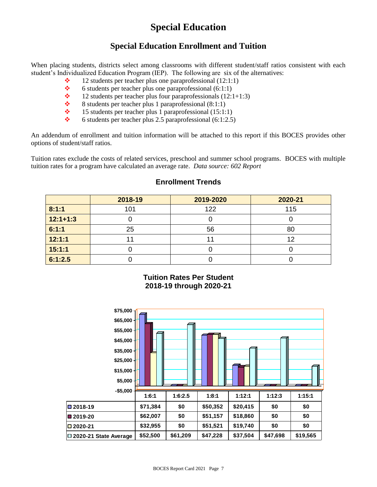## **Special Education**

#### **Special Education Enrollment and Tuition**

When placing students, districts select among classrooms with different student/staff ratios consistent with each student's Individualized Education Program (IEP). The following are six of the alternatives:

- $\div$  12 students per teacher plus one paraprofessional (12:1:1)
- $\div$  6 students per teacher plus one paraprofessional (6:1:1)
- $\div$  12 students per teacher plus four paraprofessionals (12:1+1:3)
- 8 students per teacher plus 1 paraprofessional (8:1:1)<br>  $\bullet$  15 students per teacher plus 1 paraprofessional (15:1:
- 15 students per teacher plus 1 paraprofessional (15:1:1)
- $\div$  6 students per teacher plus 2.5 paraprofessional (6:1:2.5)

An addendum of enrollment and tuition information will be attached to this report if this BOCES provides other options of student/staff ratios.

Tuition rates exclude the costs of related services, preschool and summer school programs. BOCES with multiple tuition rates for a program have calculated an average rate. *Data source: 602 Report*

|            | 2018-19 | 2019-2020 | 2020-21 |
|------------|---------|-----------|---------|
| 8:1:1      | 101     | 122       | 115     |
| $12:1+1:3$ |         |           |         |
| 6:1:1      | 25      | 56        | 80      |
| 12:1:1     |         |           | 12      |
| 15:1:1     |         |           |         |
| 6:1:2.5    |         |           |         |

#### **Enrollment Trends**

**Tuition Rates Per Student 2018-19 through 2020-21**

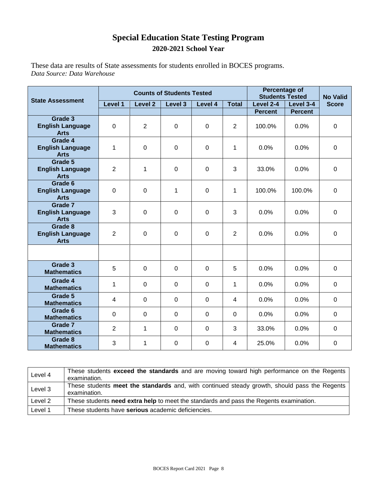#### **Special Education State Testing Program 2020-2021 School Year**

These data are results of State assessments for students enrolled in BOCES programs. *Data Source: Data Warehouse*

|                                                   |                |                    | <b>Counts of Students Tested</b> | Percentage of<br><b>Students Tested</b> | <b>No Valid</b> |                |                |              |
|---------------------------------------------------|----------------|--------------------|----------------------------------|-----------------------------------------|-----------------|----------------|----------------|--------------|
| <b>State Assessment</b>                           | Level 1        | Level <sub>2</sub> | Level 3                          | Level 4                                 | <b>Total</b>    | Level 2-4      | Level 3-4      | <b>Score</b> |
|                                                   |                |                    |                                  |                                         |                 | <b>Percent</b> | <b>Percent</b> |              |
| Grade 3<br><b>English Language</b><br><b>Arts</b> | 0              | $\overline{2}$     | $\mathbf 0$                      | $\overline{0}$                          | $\overline{2}$  | 100.0%         | 0.0%           | $\mathbf 0$  |
| Grade 4<br><b>English Language</b><br><b>Arts</b> | 1              | $\mathbf 0$        | $\mathbf 0$                      | $\mathbf 0$                             | $\mathbf{1}$    | 0.0%           | 0.0%           | $\mathbf 0$  |
| Grade 5<br><b>English Language</b><br><b>Arts</b> | $\overline{2}$ | 1                  | $\mathbf 0$                      | $\mathbf 0$                             | 3               | 33.0%          | 0.0%           | $\mathbf 0$  |
| Grade 6<br><b>English Language</b><br><b>Arts</b> | 0              | $\mathbf 0$        | 1                                | $\mathbf 0$                             | 1               | 100.0%         | 100.0%         | $\mathbf 0$  |
| Grade 7<br><b>English Language</b><br><b>Arts</b> | 3              | $\mathbf 0$        | $\mathbf 0$                      | $\mathbf 0$                             | 3               | 0.0%           | 0.0%           | $\mathbf 0$  |
| Grade 8<br><b>English Language</b><br><b>Arts</b> | $\overline{2}$ | $\mathbf 0$        | $\mathbf 0$                      | $\mathbf 0$                             | $\overline{2}$  | 0.0%           | 0.0%           | $\mathbf 0$  |
|                                                   |                |                    |                                  |                                         |                 |                |                |              |
| Grade 3<br><b>Mathematics</b>                     | 5              | $\overline{0}$     | $\mathbf 0$                      | $\overline{0}$                          | 5               | 0.0%           | 0.0%           | $\mathbf 0$  |
| Grade 4<br><b>Mathematics</b>                     | 1              | $\mathbf 0$        | $\pmb{0}$                        | $\mathbf 0$                             | 1               | 0.0%           | 0.0%           | $\mathbf 0$  |
| Grade 5<br><b>Mathematics</b>                     | 4              | $\mathbf 0$        | 0                                | $\Omega$                                | $\overline{4}$  | 0.0%           | 0.0%           | $\mathbf 0$  |
| Grade 6<br><b>Mathematics</b>                     | 0              | $\Omega$           | $\Omega$                         | $\Omega$                                | $\Omega$        | 0.0%           | 0.0%           | $\Omega$     |
| Grade 7<br><b>Mathematics</b>                     | $\overline{2}$ | 1                  | $\mathbf 0$                      | $\mathbf 0$                             | 3               | 33.0%          | 0.0%           | $\mathbf 0$  |
| Grade 8<br><b>Mathematics</b>                     | 3              | 1                  | $\mathbf 0$                      | $\Omega$                                | $\overline{4}$  | 25.0%          | 0.0%           | $\Omega$     |

| Level 4 | These students exceed the standards and are moving toward high performance on the Regents<br>examination.    |
|---------|--------------------------------------------------------------------------------------------------------------|
| Level 3 | These students meet the standards and, with continued steady growth, should pass the Regents<br>examination. |
| Level 2 | These students need extra help to meet the standards and pass the Regents examination.                       |
| Level 1 | These students have serious academic deficiencies.                                                           |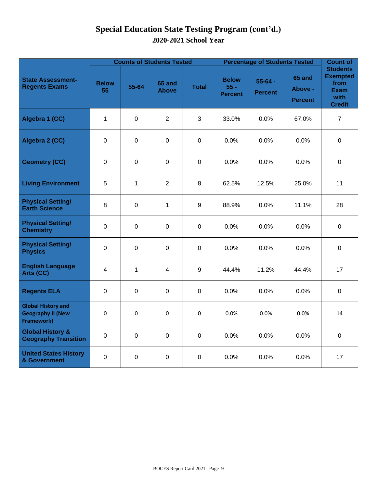## **Special Education State Testing Program (cont'd.) 2020-2021 School Year**

|                                                                     |                    | <b>Counts of Students Tested</b> |                        |              | <b>Percentage of Students Tested</b>     | <b>Count of</b>               |                                     |                                                                                    |
|---------------------------------------------------------------------|--------------------|----------------------------------|------------------------|--------------|------------------------------------------|-------------------------------|-------------------------------------|------------------------------------------------------------------------------------|
| <b>State Assessment-</b><br><b>Regents Exams</b>                    | <b>Below</b><br>55 | 55-64                            | 65 and<br><b>Above</b> | <b>Total</b> | <b>Below</b><br>$55 -$<br><b>Percent</b> | $55 - 64 -$<br><b>Percent</b> | 65 and<br>Above -<br><b>Percent</b> | <b>Students</b><br><b>Exempted</b><br>from<br><b>Exam</b><br>with<br><b>Credit</b> |
| Algebra 1 (CC)                                                      | $\mathbf{1}$       | $\mathbf 0$                      | $\overline{2}$         | 3            | 33.0%                                    | $0.0\%$                       | 67.0%                               | $\overline{7}$                                                                     |
| Algebra 2 (CC)                                                      | $\mathbf 0$        | $\mathbf 0$                      | $\mathbf 0$            | $\mathbf 0$  | 0.0%                                     | 0.0%                          | 0.0%                                | $\mathbf 0$                                                                        |
| <b>Geometry (CC)</b>                                                | $\mathbf 0$        | 0                                | $\mathbf 0$            | $\mathbf 0$  | 0.0%                                     | 0.0%                          | 0.0%                                | $\mathbf 0$                                                                        |
| <b>Living Environment</b>                                           | 5                  | 1                                | $\overline{2}$         | 8            | 62.5%                                    | 12.5%                         | 25.0%                               | 11                                                                                 |
| <b>Physical Setting/</b><br><b>Earth Science</b>                    | 8                  | $\mathbf 0$                      | $\mathbf{1}$           | 9            | 88.9%                                    | 0.0%                          | 11.1%                               | 28                                                                                 |
| <b>Physical Setting/</b><br><b>Chemistry</b>                        | $\mathbf 0$        | $\mathbf 0$                      | $\mathbf 0$            | $\mathbf 0$  | 0.0%                                     | 0.0%                          | 0.0%                                | $\mathbf 0$                                                                        |
| <b>Physical Setting/</b><br><b>Physics</b>                          | $\mathbf 0$        | $\mathbf 0$                      | $\mathbf 0$            | $\mathbf 0$  | 0.0%                                     | 0.0%                          | 0.0%                                | $\mathbf 0$                                                                        |
| <b>English Language</b><br>Arts (CC)                                | 4                  | $\mathbf 1$                      | 4                      | 9            | 44.4%                                    | 11.2%                         | 44.4%                               | 17                                                                                 |
| <b>Regents ELA</b>                                                  | $\mathbf 0$        | 0                                | $\mathbf 0$            | $\mathbf 0$  | 0.0%                                     | 0.0%                          | 0.0%                                | $\mathbf 0$                                                                        |
| <b>Global History and</b><br><b>Geography II (New</b><br>Framework) | 0                  | 0                                | $\pmb{0}$              | $\Omega$     | 0.0%                                     | 0.0%                          | 0.0%                                | 14                                                                                 |
| <b>Global History &amp;</b><br><b>Geography Transition</b>          | $\mathbf 0$        | $\mathbf 0$                      | $\mathbf 0$            | $\mathbf 0$  | 0.0%                                     | 0.0%                          | 0.0%                                | $\mathbf 0$                                                                        |
| <b>United States History</b><br>& Government                        | $\mathbf 0$        | 0                                | $\mathbf 0$            | $\mathbf 0$  | 0.0%                                     | 0.0%                          | 0.0%                                | 17                                                                                 |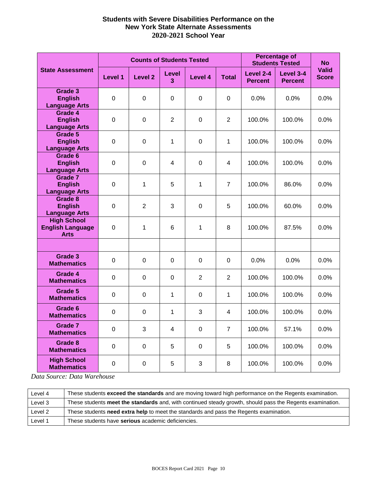#### **Students with Severe Disabilities Performance on the New York State Alternate Assessments 2020-2021 School Year**

|                                                              |                       | <b>Counts of Students Tested</b> |                   | <b>Percentage of</b><br><b>Students Tested</b> | <b>No</b>               |                             |                             |                              |
|--------------------------------------------------------------|-----------------------|----------------------------------|-------------------|------------------------------------------------|-------------------------|-----------------------------|-----------------------------|------------------------------|
| <b>State Assessment</b>                                      | Level 1               | <b>Level 2</b>                   | <b>Level</b><br>3 | Level 4                                        | <b>Total</b>            | Level 2-4<br><b>Percent</b> | Level 3-4<br><b>Percent</b> | <b>Valid</b><br><b>Score</b> |
| Grade 3<br><b>English</b><br><b>Language Arts</b>            | $\mathbf 0$           | $\mathbf 0$                      | $\mathbf 0$       | $\mathbf 0$                                    | $\mathbf 0$             | 0.0%                        | 0.0%                        | 0.0%                         |
| Grade 4<br><b>English</b><br><b>Language Arts</b>            | $\mathbf 0$           | $\mathbf 0$                      | $\overline{2}$    | $\mathbf 0$                                    | $\overline{2}$          | 100.0%                      | 100.0%                      | 0.0%                         |
| Grade 5<br><b>English</b><br><b>Language Arts</b>            | $\mathbf 0$           | $\mathbf 0$                      | 1                 | $\mathbf 0$                                    | $\mathbf{1}$            | 100.0%                      | 100.0%                      | 0.0%                         |
| Grade 6<br><b>English</b><br><b>Language Arts</b>            | $\mathbf 0$           | $\mathbf 0$                      | 4                 | $\mathbf 0$                                    | $\overline{\mathbf{4}}$ | 100.0%                      | 100.0%                      | 0.0%                         |
| Grade 7<br><b>English</b><br><b>Language Arts</b>            | $\mathbf 0$           | 1                                | 5                 | 1                                              | $\overline{7}$          | 100.0%                      | 86.0%                       | 0.0%                         |
| Grade 8<br><b>English</b><br><b>Language Arts</b>            | 0                     | $\overline{2}$                   | 3                 | $\pmb{0}$                                      | 5                       | 100.0%                      | 60.0%                       | 0.0%                         |
| <b>High School</b><br><b>English Language</b><br><b>Arts</b> | 0                     | $\mathbf{1}$                     | 6                 | $\mathbf{1}$                                   | 8                       | 100.0%                      | 87.5%                       | 0.0%                         |
|                                                              |                       |                                  |                   |                                                |                         |                             |                             |                              |
| Grade 3<br><b>Mathematics</b>                                | 0                     | $\Omega$                         | 0                 | 0                                              | 0                       | 0.0%                        | 0.0%                        | 0.0%                         |
| Grade 4<br><b>Mathematics</b>                                | 0                     | $\overline{0}$                   | 0                 | $\overline{2}$                                 | $\overline{2}$          | 100.0%                      | 100.0%                      | 0.0%                         |
| Grade 5<br><b>Mathematics</b>                                | 0<br>0<br>1<br>0<br>1 |                                  |                   | 100.0%                                         | 100.0%                  | 0.0%                        |                             |                              |
| Grade 6<br><b>Mathematics</b>                                | 0                     | $\overline{0}$                   | 1                 | 3                                              | 4                       | 100.0%                      | 100.0%                      | 0.0%                         |
| Grade 7<br><b>Mathematics</b>                                | $\mathbf 0$           | 3                                | 4                 | 0                                              | $\overline{7}$          | 100.0%                      | 57.1%                       | 0.0%                         |
| Grade 8<br><b>Mathematics</b>                                | $\mathsf 0$           | $\Omega$                         | 5                 | $\mathbf 0$                                    | 5                       | 100.0%                      | 100.0%                      | 0.0%                         |
| <b>High School</b><br><b>Mathematics</b>                     | 0                     | $\mathbf 0$                      | 5                 | 3                                              | 8                       | 100.0%                      | 100.0%                      | 0.0%                         |

*Data Source: Data Warehouse*

| Level 4 | These students exceed the standards and are moving toward high performance on the Regents examination.    |
|---------|-----------------------------------------------------------------------------------------------------------|
| Level 3 | These students meet the standards and, with continued steady growth, should pass the Regents examination. |
| Level 2 | These students need extra help to meet the standards and pass the Regents examination.                    |
| Level 1 | These students have serious academic deficiencies.                                                        |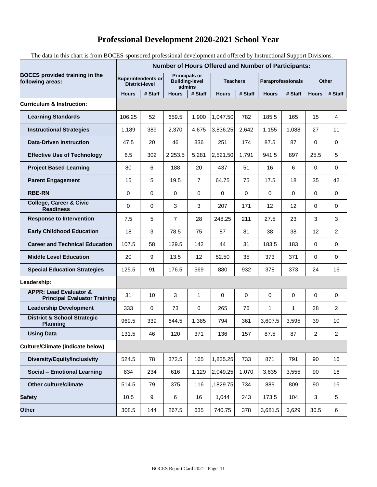## **Professional Development 2020-2021 School Year**

The data in this chart is from BOCES-sponsored professional development and offered by Instructional Support Divisions.

|                                                                          | <b>Number of Hours Offered and Number of Participants:</b> |                  |                                                         |                |                 |          |                   |             |              |                |
|--------------------------------------------------------------------------|------------------------------------------------------------|------------------|---------------------------------------------------------|----------------|-----------------|----------|-------------------|-------------|--------------|----------------|
| <b>BOCES</b> provided training in the<br>following areas:                | Superintendents or<br><b>District-level</b>                |                  | <b>Principals or</b><br><b>Building-level</b><br>admins |                | <b>Teachers</b> |          | Paraprofessionals |             | <b>Other</b> |                |
|                                                                          | <b>Hours</b>                                               | # Staff          | <b>Hours</b>                                            | # Staff        | <b>Hours</b>    | # Staff  | <b>Hours</b>      | # Staff     | <b>Hours</b> | # Staff        |
| Curriculum & Instruction:                                                |                                                            |                  |                                                         |                |                 |          |                   |             |              |                |
| <b>Learning Standards</b>                                                | 106.25                                                     | 52               | 659.5                                                   | 1,900          | 1,047.50        | 782      | 185.5             | 165         | 15           | 4              |
| <b>Instructional Strategies</b>                                          | 1,189                                                      | 389              | 2,370                                                   | 4,675          | 3,836.25        | 2,642    | 1,155             | 1,088       | 27           | 11             |
| <b>Data-Driven Instruction</b>                                           | 47.5                                                       | 20               | 46                                                      | 336            | 251             | 174      | 87.5              | 87          | $\Omega$     | $\mathbf 0$    |
| <b>Effective Use of Technology</b>                                       | 6.5                                                        | 302              | 2,253.5                                                 | 5,281          | 2,521.50        | 1,791    | 941.5             | 897         | 25.5         | 5              |
| <b>Project Based Learning</b>                                            | 80                                                         | 6                | 188                                                     | 20             | 437             | 51       | 16                | 6           | $\Omega$     | $\mathbf 0$    |
| <b>Parent Engagement</b>                                                 | 15                                                         | 5                | 19.5                                                    | $\overline{7}$ | 64.75           | 75       | 17.5              | 18          | 35           | 42             |
| <b>RBE-RN</b>                                                            | 0                                                          | 0                | 0                                                       | 0              | 0               | $\Omega$ | 0                 | $\mathbf 0$ | $\Omega$     | $\mathbf 0$    |
| <b>College, Career &amp; Civic</b><br><b>Readiness</b>                   | $\mathbf 0$                                                | 0                | 3                                                       | 3              | 207             | 171      | 12                | 12          | 0            | 0              |
| <b>Response to Intervention</b>                                          | 7.5                                                        | 5                | 7                                                       | 28             | 248.25          | 211      | 27.5              | 23          | 3            | 3              |
| <b>Early Childhood Education</b>                                         | 18                                                         | 3                | 78.5                                                    | 75             | 87              | 81       | 38                | 38          | 12           | 2              |
| <b>Career and Technical Education</b>                                    | 107.5                                                      | 58               | 129.5                                                   | 142            | 44              | 31       | 183.5             | 183         | 0            | 0              |
| <b>Middle Level Education</b>                                            | 20                                                         | 9                | 13.5                                                    | 12             | 52.50           | 35       | 373               | 371         | 0            | $\mathbf 0$    |
| <b>Special Education Strategies</b>                                      | 125.5                                                      | 91               | 176.5                                                   | 569            | 880             | 932      | 378               | 373         | 24           | 16             |
| Leadership:                                                              |                                                            |                  |                                                         |                |                 |          |                   |             |              |                |
| <b>APPR: Lead Evaluator &amp;</b><br><b>Principal Evaluator Training</b> | 31                                                         | 10               | 3                                                       | 1              | 0               | 0        | 0                 | 0           | 0            | 0              |
| <b>Leadership Development</b>                                            | 333                                                        | $\mathbf 0$      | 73                                                      | 0              | 265             | 76       | $\mathbf{1}$      | 1           | 28           | $\overline{2}$ |
| <b>District &amp; School Strategic</b><br><b>Planning</b>                | 969.5                                                      | 339              | 644.5                                                   | 1,385          | 794             | 361      | 3,607.5           | 3,595       | 39           | 10             |
| <b>Using Data</b>                                                        | 131.5                                                      | 46               | 120                                                     | 371            | 136             | 157      | 87.5              | 87          | 2            | 2              |
| Culture/Climate (indicate below)                                         |                                                            |                  |                                                         |                |                 |          |                   |             |              |                |
| Diversity/Equity/Inclusivity                                             | 524.5                                                      | 78               | 372.5                                                   | 165            | 1,835.25        | 733      | 871               | 791         | 90           | 16             |
| <b>Social - Emotional Learning</b>                                       | 834                                                        | 234              | 616                                                     | 1,129          | 2,049.25        | 1,070    | 3,635             | 3,555       | 90           | 16             |
| Other culture/climate                                                    | 514.5                                                      | 79               | 375                                                     | 116            | 1829.75         | 734      | 889               | 809         | 90           | 16             |
| <b>Safety</b>                                                            | 10.5                                                       | $\boldsymbol{9}$ | 6                                                       | 16             | 1,044           | 243      | 173.5             | 104         | 3            | $\sqrt{5}$     |
| <b>Other</b>                                                             | 308.5                                                      | 144              | 267.5                                                   | 635            | 740.75          | 378      | 3,681.5           | 3,629       | 30.5         | 6              |